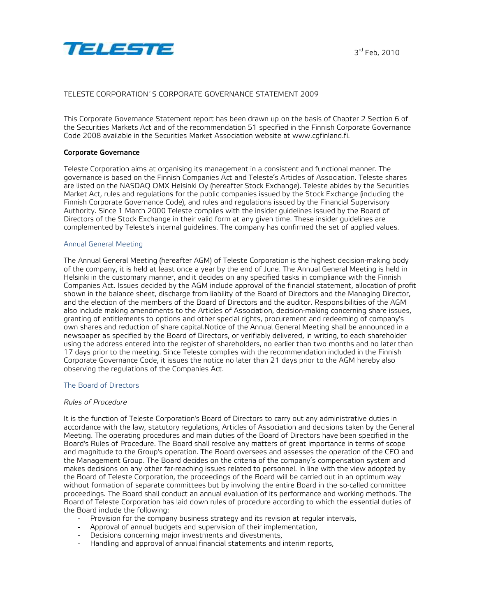

# TELESTE CORPORATION´S CORPORATE GOVERNANCE STATEMENT 2009

This Corporate Governance Statement report has been drawn up on the basis of Chapter 2 Section 6 of the Securities Markets Act and of the recommendation 51 specified in the Finnish Corporate Governance Code 2008 available in the Securities Market Association website at www.cgfinland.fi.

#### **Corporate Governance**

Teleste Corporation aims at organising its management in a consistent and functional manner. The governance is based on the Finnish Companies Act and Teleste's Articles of Association. Teleste shares are listed on the NASDAQ OMX Helsinki Oy (hereafter Stock Exchange). Teleste abides by the Securities Market Act, rules and regulations for the public companies issued by the Stock Exchange (including the Finnish Corporate Governance Code), and rules and regulations issued by the Financial Supervisory Authority. Since 1 March 2000 Teleste complies with the insider guidelines issued by the Board of Directors of the Stock Exchange in their valid form at any given time. These insider guidelines are complemented by Teleste's internal guidelines. The company has confirmed the set of applied values.

#### Annual General Meeting

The Annual General Meeting (hereafter AGM) of Teleste Corporation is the highest decision-making body of the company, it is held at least once a year by the end of June. The Annual General Meeting is held in Helsinki in the customary manner, and it decides on any specified tasks in compliance with the Finnish Companies Act. Issues decided by the AGM include approval of the financial statement, allocation of profit shown in the balance sheet, discharge from liability of the Board of Directors and the Managing Director, and the election of the members of the Board of Directors and the auditor. Responsibilities of the AGM also include making amendments to the Articles of Association, decision-making concerning share issues, granting of entitlements to options and other special rights, procurement and redeeming of company's own shares and reduction of share capital.Notice of the Annual General Meeting shall be announced in a newspaper as specified by the Board of Directors, or verifiably delivered, in writing, to each shareholder using the address entered into the register of shareholders, no earlier than two months and no later than 17 days prior to the meeting. Since Teleste complies with the recommendation included in the Finnish Corporate Governance Code, it issues the notice no later than 21 days prior to the AGM hereby also observing the regulations of the Companies Act.

#### The Board of Directors

#### *Rules of Procedure*

It is the function of Teleste Corporation's Board of Directors to carry out any administrative duties in accordance with the law, statutory regulations, Articles of Association and decisions taken by the General Meeting. The operating procedures and main duties of the Board of Directors have been specified in the Board's Rules of Procedure. The Board shall resolve any matters of great importance in terms of scope and magnitude to the Group's operation. The Board oversees and assesses the operation of the CEO and the Management Group. The Board decides on the criteria of the company's compensation system and makes decisions on any other far-reaching issues related to personnel. In line with the view adopted by the Board of Teleste Corporation, the proceedings of the Board will be carried out in an optimum way without formation of separate committees but by involving the entire Board in the so-called committee proceedings. The Board shall conduct an annual evaluation of its performance and working methods. The Board of Teleste Corporation has laid down rules of procedure according to which the essential duties of the Board include the following:

- Provision for the company business strategy and its revision at regular intervals,
- Approval of annual budgets and supervision of their implementation,
- Decisions concerning major investments and divestments,
- Handling and approval of annual financial statements and interim reports,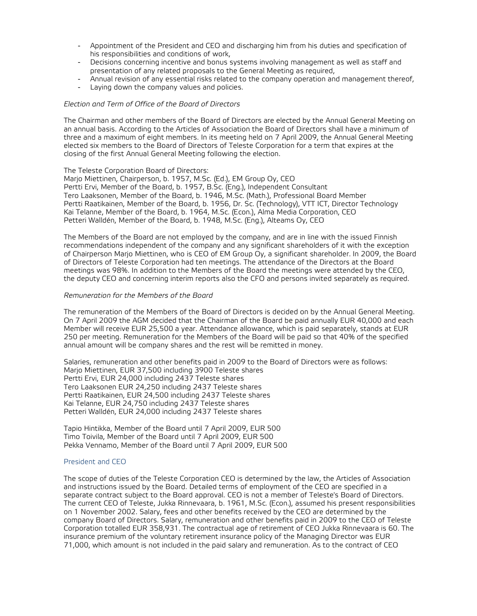- Appointment of the President and CEO and discharging him from his duties and specification of his responsibilities and conditions of work,
- Decisions concerning incentive and bonus systems involving management as well as staff and presentation of any related proposals to the General Meeting as required,
- Annual revision of any essential risks related to the company operation and management thereof,
- Laying down the company values and policies.

#### *Election and Term of Office of the Board of Directors*

The Chairman and other members of the Board of Directors are elected by the Annual General Meeting on an annual basis. According to the Articles of Association the Board of Directors shall have a minimum of three and a maximum of eight members. In its meeting held on 7 April 2009, the Annual General Meeting elected six members to the Board of Directors of Teleste Corporation for a term that expires at the closing of the first Annual General Meeting following the election.

The Teleste Corporation Board of Directors:

Marjo Miettinen, Chairperson, b. 1957, M.Sc. (Ed.), EM Group Oy, CEO Pertti Ervi, Member of the Board, b. 1957, B.Sc. (Eng.), Independent Consultant Tero Laaksonen, Member of the Board, b. 1946, M.Sc. (Math.), Professional Board Member Pertti Raatikainen, Member of the Board, b. 1956, Dr. Sc. (Technology), VTT ICT, Director Technology Kai Telanne, Member of the Board, b. 1964, M.Sc. (Econ.), Alma Media Corporation, CEO Petteri Walldén, Member of the Board, b. 1948, M.Sc. (Eng.), Alteams Oy, CEO

The Members of the Board are not employed by the company, and are in line with the issued Finnish recommendations independent of the company and any significant shareholders of it with the exception of Chairperson Marjo Miettinen, who is CEO of EM Group Oy, a significant shareholder. In 2009, the Board of Directors of Teleste Corporation had ten meetings. The attendance of the Directors at the Board meetings was 98%. In addition to the Members of the Board the meetings were attended by the CEO, the deputy CEO and concerning interim reports also the CFO and persons invited separately as required.

#### *Remuneration for the Members of the Board*

The remuneration of the Members of the Board of Directors is decided on by the Annual General Meeting. On 7 April 2009 the AGM decided that the Chairman of the Board be paid annually EUR 40,000 and each Member will receive EUR 25,500 a year. Attendance allowance, which is paid separately, stands at EUR 250 per meeting. Remuneration for the Members of the Board will be paid so that 40% of the specified annual amount will be company shares and the rest will be remitted in money.

Salaries, remuneration and other benefits paid in 2009 to the Board of Directors were as follows: Marjo Miettinen, EUR 37,500 including 3900 Teleste shares Pertti Ervi, EUR 24,000 including 2437 Teleste shares Tero Laaksonen EUR 24,250 including 2437 Teleste shares Pertti Raatikainen, EUR 24,500 including 2437 Teleste shares Kai Telanne, EUR 24,750 including 2437 Teleste shares Petteri Walldén, EUR 24,000 including 2437 Teleste shares

Tapio Hintikka, Member of the Board until 7 April 2009, EUR 500 Timo Toivila, Member of the Board until 7 April 2009, EUR 500 Pekka Vennamo, Member of the Board until 7 April 2009, EUR 500

## President and CEO

The scope of duties of the Teleste Corporation CEO is determined by the law, the Articles of Association and instructions issued by the Board. Detailed terms of employment of the CEO are specified in a separate contract subject to the Board approval. CEO is not a member of Teleste's Board of Directors. The current CEO of Teleste, Jukka Rinnevaara, b. 1961, M.Sc. (Econ.), assumed his present responsibilities on 1 November 2002. Salary, fees and other benefits received by the CEO are determined by the company Board of Directors. Salary, remuneration and other benefits paid in 2009 to the CEO of Teleste Corporation totalled EUR 358,931. The contractual age of retirement of CEO Jukka Rinnevaara is 60. The insurance premium of the voluntary retirement insurance policy of the Managing Director was EUR 71,000, which amount is not included in the paid salary and remuneration. As to the contract of CEO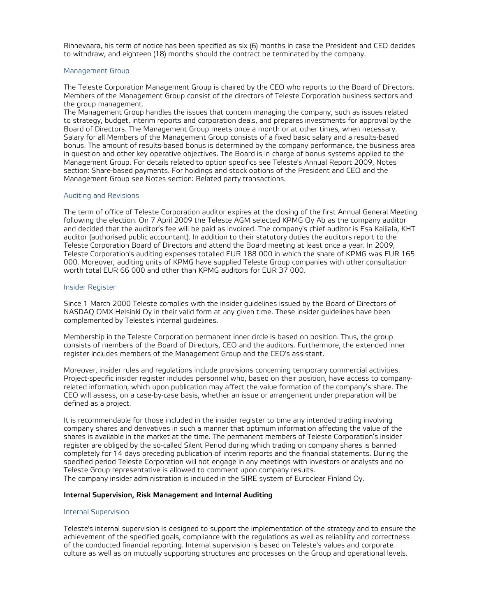Rinnevaara, his term of notice has been specified as six (6) months in case the President and CEO decides to withdraw, and eighteen (18) months should the contract be terminated by the company.

## Management Group

The Teleste Corporation Management Group is chaired by the CEO who reports to the Board of Directors. Members of the Management Group consist of the directors of Teleste Corporation business sectors and the group management.

The Management Group handles the issues that concern managing the company, such as issues related to strategy, budget, interim reports and corporation deals, and prepares investments for approval by the Board of Directors. The Management Group meets once a month or at other times, when necessary. Salary for all Members of the Management Group consists of a fixed basic salary and a results-based bonus. The amount of results-based bonus is determined by the company performance, the business area in question and other key operative objectives. The Board is in charge of bonus systems applied to the Management Group. For details related to option specifics see Teleste's Annual Report 2009, Notes section: Share-based payments. For holdings and stock options of the President and CEO and the Management Group see Notes section: Related party transactions.

## Auditing and Revisions

The term of office of Teleste Corporation auditor expires at the closing of the first Annual General Meeting following the election. On 7 April 2009 the Teleste AGM selected KPMG Oy Ab as the company auditor and decided that the auditor's fee will be paid as invoiced. The company's chief auditor is Esa Kailiala, KHT auditor (authorised public accountant). In addition to their statutory duties the auditors report to the Teleste Corporation Board of Directors and attend the Board meeting at least once a year. In 2009, Teleste Corporation's auditing expenses totalled EUR 188 000 in which the share of KPMG was EUR 165 000. Moreover, auditing units of KPMG have supplied Teleste Group companies with other consultation worth total EUR 66 000 and other than KPMG auditors for EUR 37 000.

#### Insider Register

Since 1 March 2000 Teleste complies with the insider guidelines issued by the Board of Directors of NASDAQ OMX Helsinki Oy in their valid form at any given time. These insider guidelines have been complemented by Teleste's internal guidelines.

Membership in the Teleste Corporation permanent inner circle is based on position. Thus, the group consists of members of the Board of Directors, CEO and the auditors. Furthermore, the extended inner register includes members of the Management Group and the CEO's assistant.

Moreover, insider rules and regulations include provisions concerning temporary commercial activities. Project-specific insider register includes personnel who, based on their position, have access to companyrelated information, which upon publication may affect the value formation of the company's share. The CEO will assess, on a case-by-case basis, whether an issue or arrangement under preparation will be defined as a project.

It is recommendable for those included in the insider register to time any intended trading involving company shares and derivatives in such a manner that optimum information affecting the value of the shares is available in the market at the time. The permanent members of Teleste Corporation's insider register are obliged by the so-called Silent Period during which trading on company shares is banned completely for 14 days preceding publication of interim reports and the financial statements. During the specified period Teleste Corporation will not engage in any meetings with investors or analysts and no Teleste Group representative is allowed to comment upon company results. The company insider administration is included in the SIRE system of Euroclear Finland Oy.

## **Internal Supervision, Risk Management and Internal Auditing**

## Internal Supervision

Teleste's internal supervision is designed to support the implementation of the strategy and to ensure the achievement of the specified goals, compliance with the regulations as well as reliability and correctness of the conducted financial reporting. Internal supervision is based on Teleste's values and corporate culture as well as on mutually supporting structures and processes on the Group and operational levels.